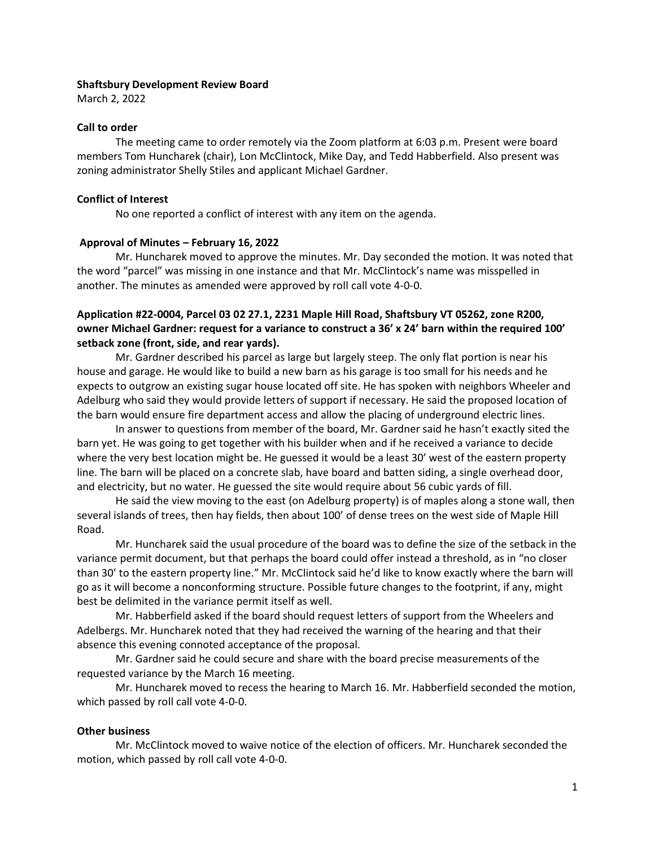#### **Shaftsbury Development Review Board**

March 2, 2022

## **Call to order**

The meeting came to order remotely via the Zoom platform at 6:03 p.m. Present were board members Tom Huncharek (chair), Lon McClintock, Mike Day, and Tedd Habberfield. Also present was zoning administrator Shelly Stiles and applicant Michael Gardner.

## **Conflict of Interest**

No one reported a conflict of interest with any item on the agenda.

#### **Approval of Minutes – February 16, 2022**

Mr. Huncharek moved to approve the minutes. Mr. Day seconded the motion. It was noted that the word "parcel" was missing in one instance and that Mr. McClintock's name was misspelled in another. The minutes as amended were approved by roll call vote 4-0-0.

# **Application #22-0004, Parcel 03 02 27.1, 2231 Maple Hill Road, Shaftsbury VT 05262, zone R200, owner Michael Gardner: request for a variance to construct a 36' x 24' barn within the required 100' setback zone (front, side, and rear yards).**

Mr. Gardner described his parcel as large but largely steep. The only flat portion is near his house and garage. He would like to build a new barn as his garage is too small for his needs and he expects to outgrow an existing sugar house located off site. He has spoken with neighbors Wheeler and Adelburg who said they would provide letters of support if necessary. He said the proposed location of the barn would ensure fire department access and allow the placing of underground electric lines.

In answer to questions from member of the board, Mr. Gardner said he hasn't exactly sited the barn yet. He was going to get together with his builder when and if he received a variance to decide where the very best location might be. He guessed it would be a least 30' west of the eastern property line. The barn will be placed on a concrete slab, have board and batten siding, a single overhead door, and electricity, but no water. He guessed the site would require about 56 cubic yards of fill.

He said the view moving to the east (on Adelburg property) is of maples along a stone wall, then several islands of trees, then hay fields, then about 100' of dense trees on the west side of Maple Hill Road.

Mr. Huncharek said the usual procedure of the board was to define the size of the setback in the variance permit document, but that perhaps the board could offer instead a threshold, as in "no closer than 30' to the eastern property line." Mr. McClintock said he'd like to know exactly where the barn will go as it will become a nonconforming structure. Possible future changes to the footprint, if any, might best be delimited in the variance permit itself as well.

Mr. Habberfield asked if the board should request letters of support from the Wheelers and Adelbergs. Mr. Huncharek noted that they had received the warning of the hearing and that their absence this evening connoted acceptance of the proposal.

Mr. Gardner said he could secure and share with the board precise measurements of the requested variance by the March 16 meeting.

Mr. Huncharek moved to recess the hearing to March 16. Mr. Habberfield seconded the motion, which passed by roll call vote 4-0-0.

# **Other business**

Mr. McClintock moved to waive notice of the election of officers. Mr. Huncharek seconded the motion, which passed by roll call vote 4-0-0.